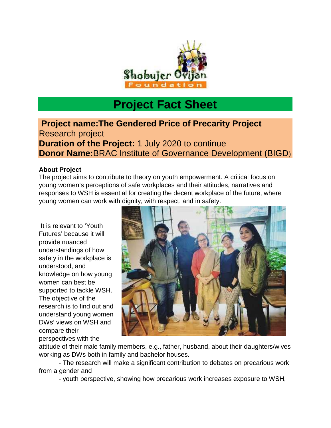

## **Project Fact Sheet**

**Project name:The Gendered Price of Precarity Project** Research project **Duration of the Project:** 1 July 2020 to continue **Donor Name:**BRAC Institute of Governance Development (BIGD)

## **About Project**

The project aims to contribute to theory on youth empowerment. A critical focus on young women's perceptions of safe workplaces and their attitudes, narratives and responses to WSH is essential for creating the decent workplace of the future, where young women can work with dignity, with respect, and in safety.

It is relevant to 'Youth Futures' because it will provide nuanced understandings of how safety in the workplace is understood, and knowledge on how young women can best be supported to tackle WSH. The objective of the research is to find out and understand young women DWs' views on WSH and compare their perspectives with the



attitude of their male family members, e.g., father, husband, about their daughters/wives working as DWs both in family and bachelor houses.

- The research will make a significant contribution to debates on precarious work from a gender and

- youth perspective, showing how precarious work increases exposure to WSH,